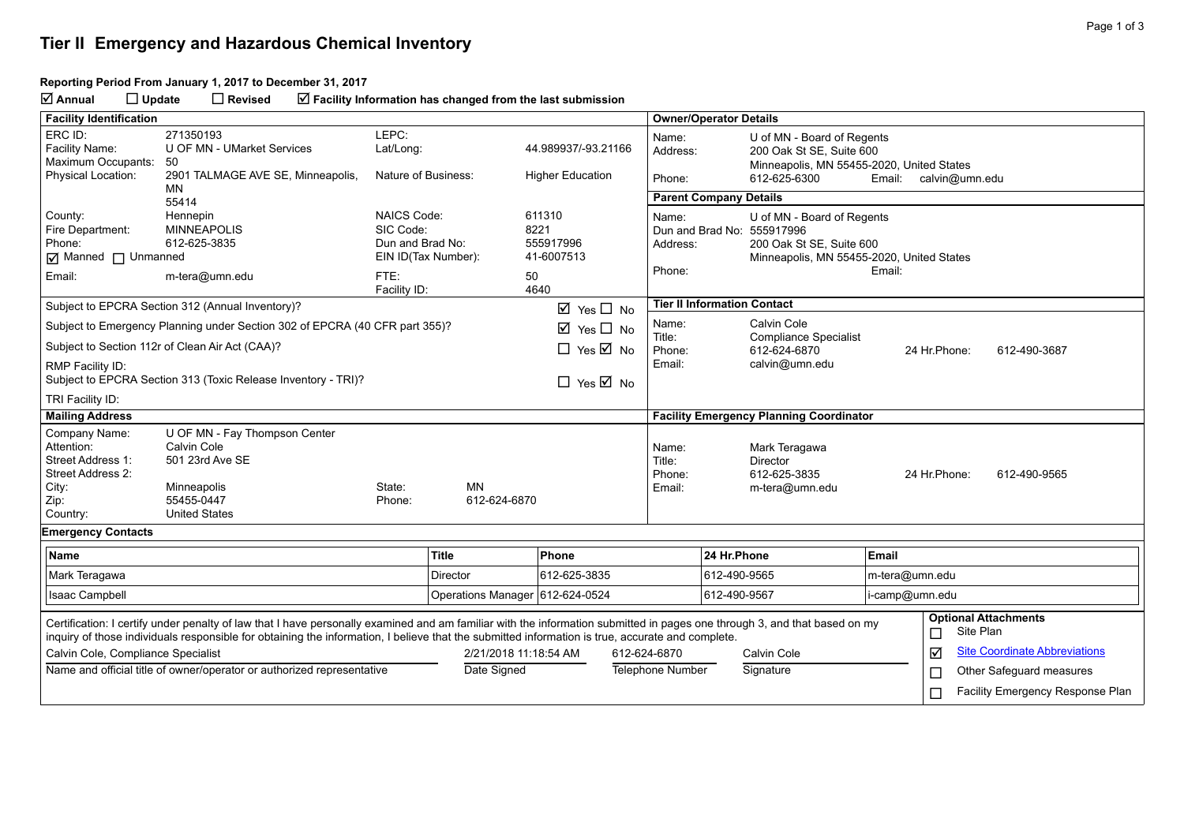## **Tier II Emergency and Hazardous Chemical Inventory**

## **Reporting Period From January 1, 2017 to December 31, 2017**

**Annual Update Revised Facility Information has changed from the last submission**

| <b>Facility Identification</b>                                                                                                                                                                                                                                                                                                                                                 |                                                                                                                                                       |                                                                                    |                                      |                                                 |                                     | <b>Owner/Operator Details</b>                |                                                                                                                                   |                          |                                      |  |
|--------------------------------------------------------------------------------------------------------------------------------------------------------------------------------------------------------------------------------------------------------------------------------------------------------------------------------------------------------------------------------|-------------------------------------------------------------------------------------------------------------------------------------------------------|------------------------------------------------------------------------------------|--------------------------------------|-------------------------------------------------|-------------------------------------|----------------------------------------------|-----------------------------------------------------------------------------------------------------------------------------------|--------------------------|--------------------------------------|--|
| ERC ID:<br>Facility Name:<br>Maximum Occupants:                                                                                                                                                                                                                                                                                                                                | 271350193<br>U OF MN - UMarket Services<br>50                                                                                                         | LEPC:<br>Lat/Long:                                                                 |                                      | 44.989937/-93.21166                             | Name:<br>Address:                   |                                              | U of MN - Board of Regents<br>200 Oak St SE, Suite 600<br>Minneapolis, MN 55455-2020, United States                               |                          |                                      |  |
| <b>Physical Location:</b>                                                                                                                                                                                                                                                                                                                                                      | 2901 TALMAGE AVE SE, Minneapolis,<br>MN                                                                                                               | Nature of Business:                                                                |                                      | <b>Higher Education</b>                         | Phone:                              |                                              | 612-625-6300                                                                                                                      | Email:                   | calvin@umn.edu                       |  |
|                                                                                                                                                                                                                                                                                                                                                                                | 55414                                                                                                                                                 |                                                                                    |                                      |                                                 |                                     | <b>Parent Company Details</b>                |                                                                                                                                   |                          |                                      |  |
| County:<br>Fire Department:<br>Phone:<br>Manned I Unmanned<br>Email:                                                                                                                                                                                                                                                                                                           | Hennepin<br><b>MINNEAPOLIS</b><br>612-625-3835<br>m-tera@umn.edu                                                                                      | <b>NAICS Code:</b><br>SIC Code:<br>Dun and Brad No:<br>EIN ID(Tax Number):<br>FTE: |                                      | 611310<br>8221<br>555917996<br>41-6007513<br>50 | Name:<br>Address:<br>Phone:         |                                              | U of MN - Board of Regents<br>Dun and Brad No: 555917996<br>200 Oak St SE, Suite 600<br>Minneapolis, MN 55455-2020, United States | Email:                   |                                      |  |
|                                                                                                                                                                                                                                                                                                                                                                                | Subject to EPCRA Section 312 (Annual Inventory)?                                                                                                      | Facility ID:                                                                       |                                      | 4640<br>$\boxtimes$ Yes $\Box$ No               |                                     |                                              | <b>Tier II Information Contact</b>                                                                                                |                          |                                      |  |
|                                                                                                                                                                                                                                                                                                                                                                                |                                                                                                                                                       |                                                                                    |                                      | $\boxtimes$ Yes $\Box$ No                       | Name:                               | Calvin Cole                                  |                                                                                                                                   |                          |                                      |  |
| Subject to Emergency Planning under Section 302 of EPCRA (40 CFR part 355)?<br>Subject to Section 112r of Clean Air Act (CAA)?                                                                                                                                                                                                                                                 |                                                                                                                                                       |                                                                                    | $\Box$ Yes $\overline{\boxtimes}$ No | Title:<br>Phone:                                |                                     | <b>Compliance Specialist</b><br>612-624-6870 | 24 Hr. Phone:<br>612-490-3687                                                                                                     |                          |                                      |  |
|                                                                                                                                                                                                                                                                                                                                                                                | Email:<br>calvin@umn.edu<br>RMP Facility ID:<br>Subject to EPCRA Section 313 (Toxic Release Inventory - TRI)?<br>$\Box$ Yes $\overline{\boxtimes}$ No |                                                                                    |                                      |                                                 |                                     |                                              |                                                                                                                                   |                          |                                      |  |
| TRI Facility ID:                                                                                                                                                                                                                                                                                                                                                               |                                                                                                                                                       |                                                                                    |                                      |                                                 |                                     |                                              |                                                                                                                                   |                          |                                      |  |
| <b>Mailing Address</b>                                                                                                                                                                                                                                                                                                                                                         |                                                                                                                                                       |                                                                                    |                                      |                                                 |                                     |                                              | <b>Facility Emergency Planning Coordinator</b>                                                                                    |                          |                                      |  |
| Company Name:<br>Attention:<br>Street Address 1:<br>Street Address 2:<br>City:<br>Zip:<br>Country:                                                                                                                                                                                                                                                                             | U OF MN - Fay Thompson Center<br>Calvin Cole<br>501 23rd Ave SE<br>Minneapolis<br>55455-0447<br><b>United States</b>                                  | State:<br>Phone:                                                                   | MN<br>612-624-6870                   |                                                 | Name:<br>Title:<br>Phone:<br>Email: |                                              | Mark Teragawa<br>Director<br>612-625-3835<br>m-tera@umn.edu                                                                       | 24 Hr. Phone:            | 612-490-9565                         |  |
| <b>Emergency Contacts</b>                                                                                                                                                                                                                                                                                                                                                      |                                                                                                                                                       |                                                                                    |                                      |                                                 |                                     |                                              |                                                                                                                                   |                          |                                      |  |
| <b>Name</b>                                                                                                                                                                                                                                                                                                                                                                    |                                                                                                                                                       |                                                                                    | <b>Title</b>                         | Phone                                           |                                     | 24 Hr.Phone                                  |                                                                                                                                   | Email                    |                                      |  |
| Mark Teragawa                                                                                                                                                                                                                                                                                                                                                                  |                                                                                                                                                       |                                                                                    | Director                             | 612-625-3835                                    |                                     | 612-490-9565                                 |                                                                                                                                   | m-tera@umn.edu           |                                      |  |
| <b>Isaac Campbell</b>                                                                                                                                                                                                                                                                                                                                                          |                                                                                                                                                       |                                                                                    | Operations Manager 612-624-0524      |                                                 |                                     | 612-490-9567                                 |                                                                                                                                   | i-camp@umn.edu           |                                      |  |
| <b>Optional Attachments</b><br>Certification: I certify under penalty of law that I have personally examined and am familiar with the information submitted in pages one through 3, and that based on my<br>Site Plan<br>□<br>inquiry of those individuals responsible for obtaining the information, I believe that the submitted information is true, accurate and complete. |                                                                                                                                                       |                                                                                    |                                      |                                                 |                                     |                                              |                                                                                                                                   |                          |                                      |  |
| Calvin Cole, Compliance Specialist                                                                                                                                                                                                                                                                                                                                             |                                                                                                                                                       |                                                                                    | 2/21/2018 11:18:54 AM                |                                                 | 612-624-6870                        |                                              | Calvin Cole                                                                                                                       | ☑                        | <b>Site Coordinate Abbreviations</b> |  |
| Name and official title of owner/operator or authorized representative<br>Date Signed                                                                                                                                                                                                                                                                                          |                                                                                                                                                       |                                                                                    |                                      | <b>Telephone Number</b>                         |                                     | Signature                                    | $\Box$                                                                                                                            | Other Safeguard measures |                                      |  |
|                                                                                                                                                                                                                                                                                                                                                                                |                                                                                                                                                       |                                                                                    |                                      |                                                 |                                     |                                              |                                                                                                                                   | $\Box$                   | Facility Emergency Response Plan     |  |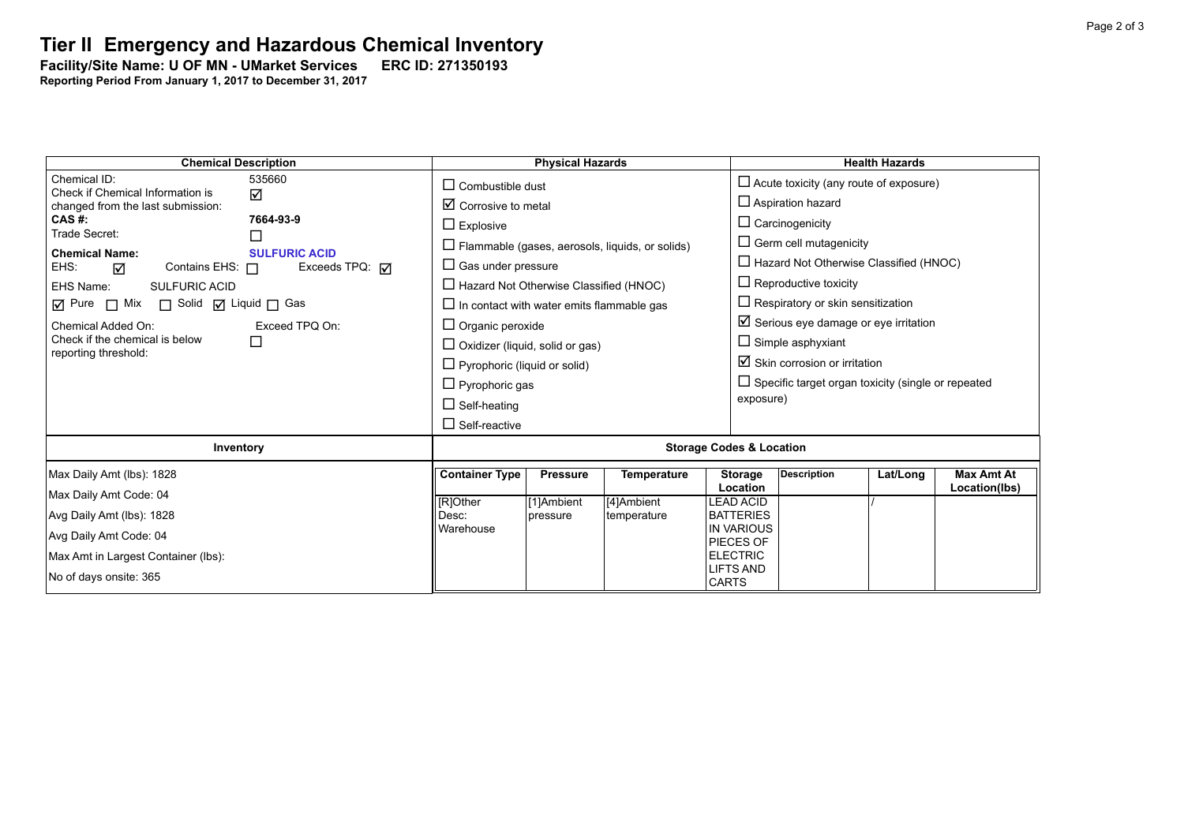## **Tier II Emergency and Hazardous Chemical Inventory**

Facility/Site Name: U OF MN - UMarket Services - ERC ID: 271350193

**Reporting Period From January 1, 2017 to December 31, 2017**

| <b>Chemical Description</b>                                                        |                         | <b>Physical Hazards</b>                                |                                               |                                                  | <b>Health Hazards</b>                                     |                                    |  |  |
|------------------------------------------------------------------------------------|-------------------------|--------------------------------------------------------|-----------------------------------------------|--------------------------------------------------|-----------------------------------------------------------|------------------------------------|--|--|
| Chemical ID:<br>535660<br>Check if Chemical Information is                         |                         | $\Box$ Combustible dust                                | $\Box$ Acute toxicity (any route of exposure) |                                                  |                                                           |                                    |  |  |
| ☑<br>changed from the last submission:                                             |                         | $\boxtimes$ Corrosive to metal                         |                                               | $\Box$ Aspiration hazard                         |                                                           |                                    |  |  |
| CAS #:<br>7664-93-9<br>Trade Secret:<br>□                                          |                         | $\Box$ Explosive                                       |                                               | $\Box$ Carcinogenicity                           |                                                           |                                    |  |  |
|                                                                                    |                         | $\Box$ Flammable (gases, aerosols, liquids, or solids) |                                               |                                                  | $\Box$ Germ cell mutagenicity                             |                                    |  |  |
| <b>Chemical Name:</b><br><b>SULFURIC ACID</b><br>EHS:<br>Contains EHS: $\Box$<br>☑ | Exceeds TPQ: $\sqrt{ }$ | $\Box$ Gas under pressure                              |                                               |                                                  | $\Box$ Hazard Not Otherwise Classified (HNOC)             |                                    |  |  |
| EHS Name:<br><b>SULFURIC ACID</b>                                                  |                         | $\Box$ Hazard Not Otherwise Classified (HNOC)          |                                               |                                                  | $\Box$ Reproductive toxicity                              |                                    |  |  |
| ☑ Pure □ Mix □ Solid ☑ Liquid □ Gas                                                |                         | $\Box$ In contact with water emits flammable gas       |                                               |                                                  | $\Box$ Respiratory or skin sensitization                  |                                    |  |  |
| Chemical Added On:<br>Exceed TPQ On:                                               |                         | $\Box$ Organic peroxide                                |                                               |                                                  | $\boxtimes$ Serious eye damage or eye irritation          |                                    |  |  |
| Check if the chemical is below<br>□<br>reporting threshold:                        |                         | $\Box$ Oxidizer (liquid, solid or gas)                 |                                               | $\Box$ Simple asphyxiant                         |                                                           |                                    |  |  |
|                                                                                    |                         | $\Box$ Pyrophoric (liquid or solid)                    |                                               |                                                  | $\boxtimes$ Skin corrosion or irritation                  |                                    |  |  |
|                                                                                    |                         | $\Box$ Pyrophoric gas                                  |                                               |                                                  | $\Box$ Specific target organ toxicity (single or repeated |                                    |  |  |
|                                                                                    |                         | $\Box$ Self-heating                                    |                                               | exposure)                                        |                                                           |                                    |  |  |
|                                                                                    |                         | $\Box$ Self-reactive                                   |                                               |                                                  |                                                           |                                    |  |  |
| Inventory                                                                          |                         | <b>Storage Codes &amp; Location</b>                    |                                               |                                                  |                                                           |                                    |  |  |
| Max Daily Amt (lbs): 1828                                                          |                         | <b>Container Type</b><br><b>Pressure</b>               | Temperature                                   | <b>Description</b><br><b>Storage</b><br>Location | Lat/Long                                                  | <b>Max Amt At</b><br>Location(lbs) |  |  |
| Max Daily Amt Code: 04                                                             | [R]Other                | [1]Ambient                                             | [4]Ambient                                    | <b>LEAD ACID</b>                                 |                                                           |                                    |  |  |
| Avg Daily Amt (lbs): 1828                                                          |                         | pressure                                               | temperature                                   | <b>BATTERIES</b><br><b>IN VARIOUS</b>            |                                                           |                                    |  |  |
| Avg Daily Amt Code: 04                                                             | Warehouse               |                                                        |                                               | PIECES OF                                        |                                                           |                                    |  |  |
| Max Amt in Largest Container (lbs):                                                |                         |                                                        |                                               | <b>ELECTRIC</b>                                  |                                                           |                                    |  |  |
| No of days onsite: 365                                                             |                         |                                                        |                                               | <b>LIFTS AND</b><br><b>CARTS</b>                 |                                                           |                                    |  |  |